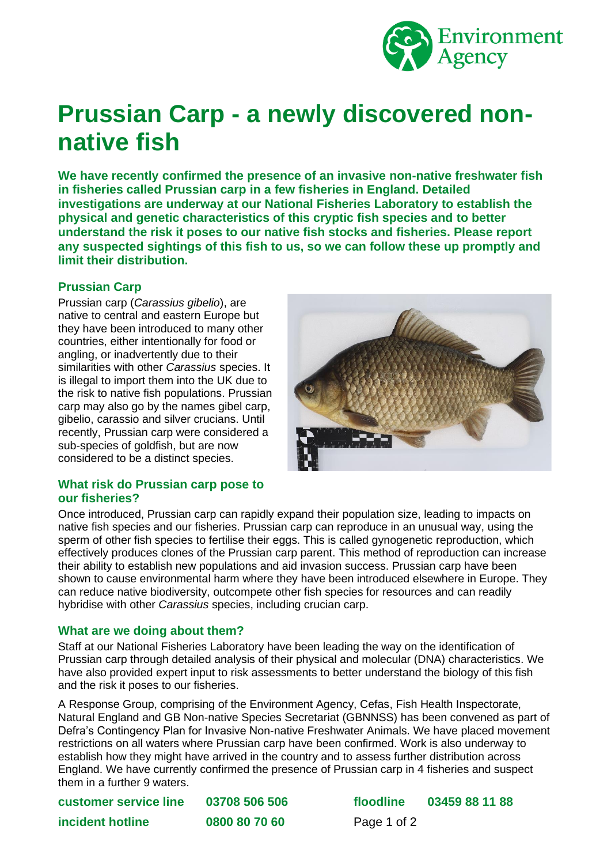

# **Prussian Carp - a newly discovered nonnative fish**

**We have recently confirmed the presence of an invasive non-native freshwater fish in fisheries called Prussian carp in a few fisheries in England. Detailed investigations are underway at our National Fisheries Laboratory to establish the physical and genetic characteristics of this cryptic fish species and to better understand the risk it poses to our native fish stocks and fisheries. Please report any suspected sightings of this fish to us, so we can follow these up promptly and limit their distribution.** 

# **Prussian Carp**

Prussian carp (*Carassius gibelio*), are native to central and eastern Europe but they have been introduced to many other countries, either intentionally for food or angling, or inadvertently due to their similarities with other *Carassius* species. It is illegal to import them into the UK due to the risk to native fish populations. Prussian carp may also go by the names gibel carp, gibelio, carassio and silver crucians. Until recently, Prussian carp were considered a sub-species of goldfish, but are now considered to be a distinct species.



#### **What risk do Prussian carp pose to our fisheries?**

Once introduced, Prussian carp can rapidly expand their population size, leading to impacts on native fish species and our fisheries. Prussian carp can reproduce in an unusual way, using the sperm of other fish species to fertilise their eggs. This is called gynogenetic reproduction, which effectively produces clones of the Prussian carp parent. This method of reproduction can increase their ability to establish new populations and aid invasion success. Prussian carp have been shown to cause environmental harm where they have been introduced elsewhere in Europe. They can reduce native biodiversity, outcompete other fish species for resources and can readily hybridise with other *Carassius* species, including crucian carp.

## **What are we doing about them?**

Staff at our National Fisheries Laboratory have been leading the way on the identification of Prussian carp through detailed analysis of their physical and molecular (DNA) characteristics. We have also provided expert input to risk assessments to better understand the biology of this fish and the risk it poses to our fisheries.

A Response Group, comprising of the Environment Agency, Cefas, Fish Health Inspectorate, Natural England and GB Non-native Species Secretariat (GBNNSS) has been convened as part of Defra's Contingency Plan for Invasive Non-native Freshwater Animals. We have placed movement restrictions on all waters where Prussian carp have been confirmed. Work is also underway to establish how they might have arrived in the country and to assess further distribution across England. We have currently confirmed the presence of Prussian carp in 4 fisheries and suspect them in a further 9 waters.

| customer service line | 03708 506 50 |
|-----------------------|--------------|
| incident hotline      | 0800 80 70 6 |

**customer service line 03708 506 506 floodline 03459 88 11 88 i0 Page 1 of 2**